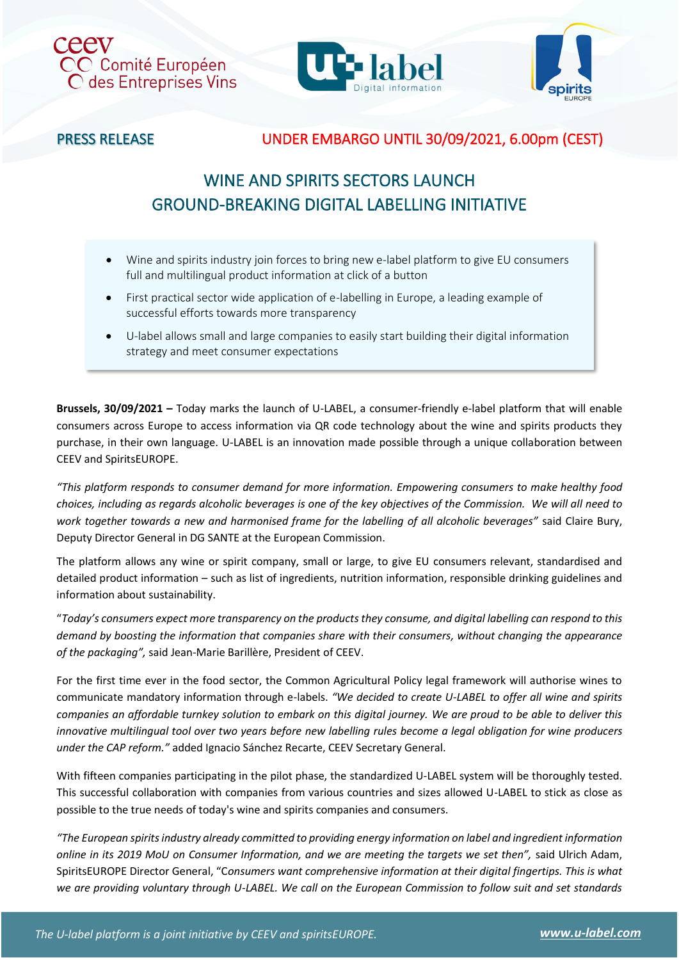





# PRESS RELEASE UNDER EMBARGO UNTIL 30/09/2021, 6.00pm (CEST)

# WINE AND SPIRITS SECTORS LAUNCH GROUND-BREAKING DIGITAL LABELLING INITIATIVE

- Wine and spirits industry join forces to bring new e-label platform to give EU consumers full and multilingual product information at click of a button
- First practical sector wide application of e-labelling in Europe, a leading example of successful efforts towards more transparency
- U-label allows small and large companies to easily start building their digital information strategy and meet consumer expectations

**Brussels, 30/09/2021 –** Today marks the launch of U-LABEL, a consumer-friendly e-label platform that will enable consumers across Europe to access information via QR code technology about the wine and spirits products they purchase, in their own language. U-LABEL is an innovation made possible through a unique collaboration between CEEV and SpiritsEUROPE.

*"This platform responds to consumer demand for more information. Empowering consumers to make healthy food choices, including as regards alcoholic beverages is one of the key objectives of the Commission. We will all need to work together towards a new and harmonised frame for the labelling of all alcoholic beverages"* said Claire Bury, Deputy Director General in DG SANTE at the European Commission.

The platform allows any wine or spirit company, small or large, to give EU consumers relevant, standardised and detailed product information – such as list of ingredients, nutrition information, responsible drinking guidelines and information about sustainability.

"*Today's consumers expect more transparency on the productsthey consume, and digital labelling can respond to this demand by boosting the information that companies share with their consumers, without changing the appearance of the packaging",* said Jean-Marie Barillère, President of CEEV.

For the first time ever in the food sector, the Common Agricultural Policy legal framework will authorise wines to communicate mandatory information through e-labels. *"We decided to create U-LABEL to offer all wine and spirits companies an affordable turnkey solution to embark on this digital journey. We are proud to be able to deliver this innovative multilingual tool over two years before new labelling rules become a legal obligation for wine producers under the CAP reform."* added Ignacio Sánchez Recarte, CEEV Secretary General.

With fifteen companies participating in the pilot phase, the standardized U-LABEL system will be thoroughly tested. This successful collaboration with companies from various countries and sizes allowed U-LABEL to stick as close as possible to the true needs of today's wine and spirits companies and consumers.

*"The European spirits industry already committed to providing energy information on label and ingredient information*  online in its 2019 MoU on Consumer Information, and we are meeting the targets we set then", said Ulrich Adam, SpiritsEUROPE Director General, "C*onsumers want comprehensive information at their digital fingertips. This is what we are providing voluntary through U-LABEL. We call on the European Commission to follow suit and set standards*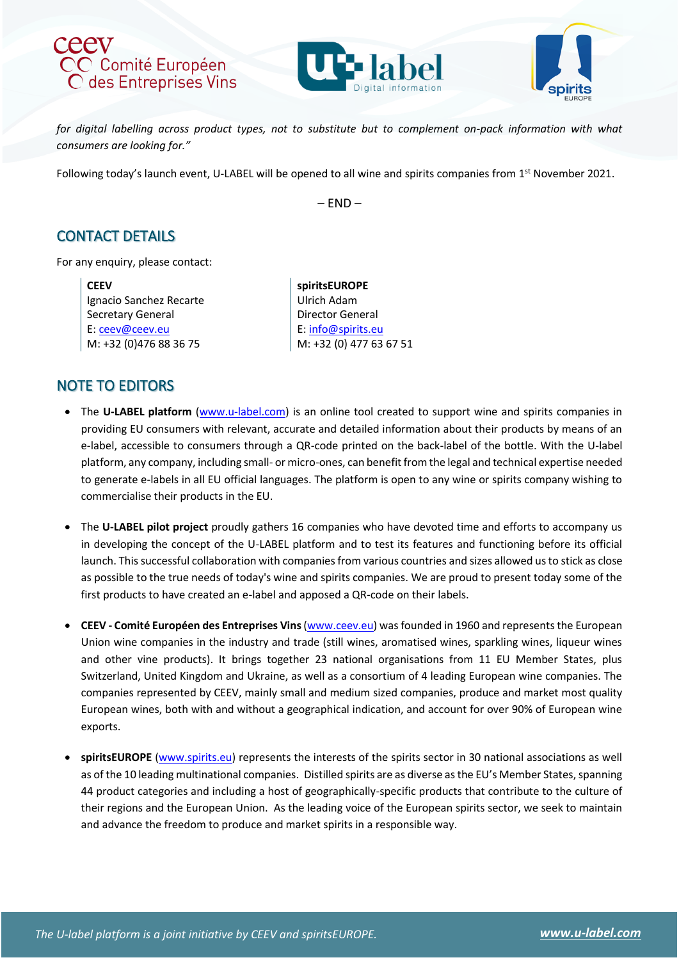





for digital labelling across product types, not to substitute but to complement on-pack information with what *consumers are looking for."*

Following today's launch event, U-LABEL will be opened to all wine and spirits companies from 1<sup>st</sup> November 2021.

– END –

### CONTACT DETAILS

For any enquiry, please contact:

**CEEV** Ignacio Sanchez Recarte Secretary General E[: ceev@ceev.eu](mailto:ceev@ceev.eu) M: +32 (0)476 88 36 75

**spiritsEUROPE** Ulrich Adam Director General E: [info@spirits.eu](mailto:info@spirits.eu) M: +32 (0) 477 63 67 51

# NOTE TO EDITORS

- The **U-LABEL platform** [\(www.u-label.com\)](http://www.u-label.com/) is an online tool created to support wine and spirits companies in providing EU consumers with relevant, accurate and detailed information about their products by means of an e-label, accessible to consumers through a QR-code printed on the back-label of the bottle. With the U-label platform, any company, including small- or micro-ones, can benefit from the legal and technical expertise needed to generate e-labels in all EU official languages. The platform is open to any wine or spirits company wishing to commercialise their products in the EU.
- The **U-LABEL pilot project** proudly gathers 16 companies who have devoted time and efforts to accompany us in developing the concept of the U-LABEL platform and to test its features and functioning before its official launch. This successful collaboration with companies from various countries and sizes allowed us to stick as close as possible to the true needs of today's wine and spirits companies. We are proud to present today some of the first products to have created an e-label and apposed a QR-code on their labels.
- **CEEV - Comité Européen des Entreprises Vins**[\(www.ceev.eu\)](http://www.ceev.eu/) was founded in 1960 and represents the European Union wine companies in the industry and trade (still wines, aromatised wines, sparkling wines, liqueur wines and other vine products). It brings together 23 national organisations from 11 EU Member States, plus Switzerland, United Kingdom and Ukraine, as well as a consortium of 4 leading European wine companies. The companies represented by CEEV, mainly small and medium sized companies, produce and market most quality European wines, both with and without a geographical indication, and account for over 90% of European wine exports.
- **spiritsEUROPE** [\(www.spirits.eu\)](http://www.spirits.eu/) represents the interests of the spirits sector in 30 national associations as well as of the 10 leading multinational companies. Distilled spirits are as diverse as the EU's Member States, spanning 44 product categories and including a host of geographically-specific products that contribute to the culture of their regions and the European Union. As the leading voice of the European spirits sector, we seek to maintain and advance the freedom to produce and market spirits in a responsible way.